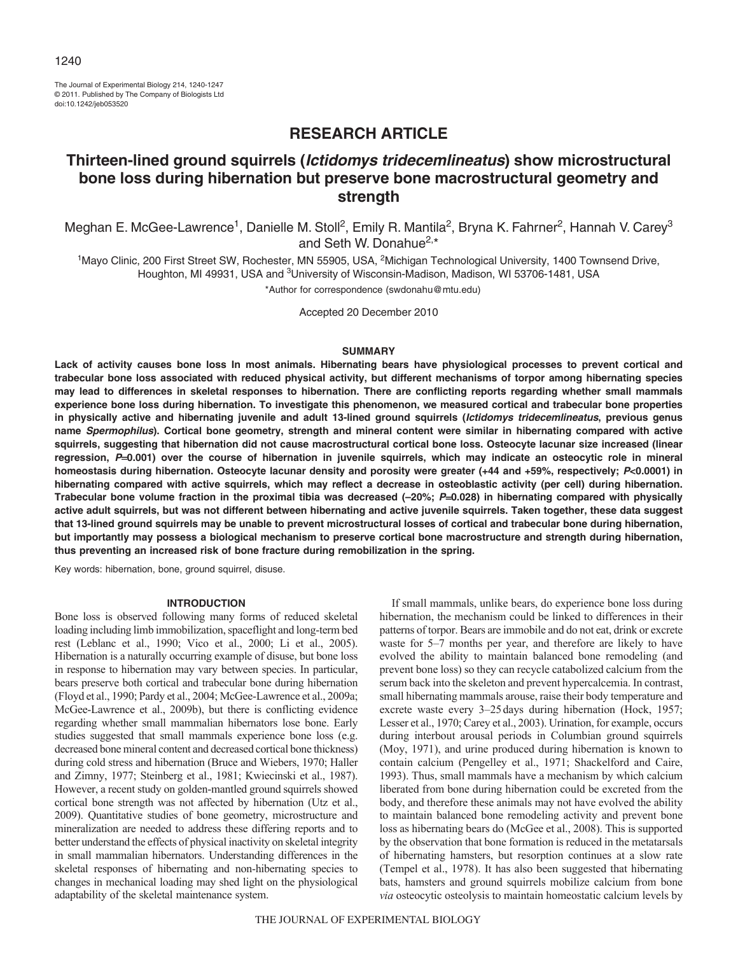The Journal of Experimental Biology 214, 1240-1247 © 2011. Published by The Company of Biologists Ltd doi:10.1242/jeb053520

# **RESEARCH ARTICLE**

# **Thirteen-lined ground squirrels (Ictidomys tridecemlineatus) show microstructural bone loss during hibernation but preserve bone macrostructural geometry and strength**

Meghan E. McGee-Lawrence<sup>1</sup>, Danielle M. Stoll<sup>2</sup>, Emily R. Mantila<sup>2</sup>, Bryna K. Fahrner<sup>2</sup>, Hannah V. Carey<sup>3</sup> and Seth W. Donahue<sup>2,\*</sup>

<sup>1</sup>Mayo Clinic, 200 First Street SW, Rochester, MN 55905, USA, <sup>2</sup>Michigan Technological University, 1400 Townsend Drive, Houghton, MI 49931, USA and <sup>3</sup>University of Wisconsin-Madison, Madison, WI 53706-1481, USA

\*Author for correspondence (swdonahu@mtu.edu)

Accepted 20 December 2010

#### **SUMMARY**

**Lack of activity causes bone loss In most animals. Hibernating bears have physiological processes to prevent cortical and trabecular bone loss associated with reduced physical activity, but different mechanisms of torpor among hibernating species may lead to differences in skeletal responses to hibernation. There are conflicting reports regarding whether small mammals experience bone loss during hibernation. To investigate this phenomenon, we measured cortical and trabecular bone properties in physically active and hibernating juvenile and adult 13-lined ground squirrels (Ictidomys tridecemlineatus, previous genus name Spermophilus). Cortical bone geometry, strength and mineral content were similar in hibernating compared with active squirrels, suggesting that hibernation did not cause macrostructural cortical bone loss. Osteocyte lacunar size increased (linear regression, P0.001) over the course of hibernation in juvenile squirrels, which may indicate an osteocytic role in mineral homeostasis during hibernation. Osteocyte lacunar density and porosity were greater (+44 and +59%, respectively; P<0.0001) in hibernating compared with active squirrels, which may reflect a decrease in osteoblastic activity (per cell) during hibernation. Trabecular bone volume fraction in the proximal tibia was decreased (–20%; P0.028) in hibernating compared with physically active adult squirrels, but was not different between hibernating and active juvenile squirrels. Taken together, these data suggest that 13-lined ground squirrels may be unable to prevent microstructural losses of cortical and trabecular bone during hibernation, but importantly may possess a biological mechanism to preserve cortical bone macrostructure and strength during hibernation, thus preventing an increased risk of bone fracture during remobilization in the spring.**

Key words: hibernation, bone, ground squirrel, disuse.

#### **INTRODUCTION**

Bone loss is observed following many forms of reduced skeletal loading including limb immobilization, spaceflight and long-term bed rest (Leblanc et al., 1990; Vico et al., 2000; Li et al., 2005). Hibernation is a naturally occurring example of disuse, but bone loss in response to hibernation may vary between species. In particular, bears preserve both cortical and trabecular bone during hibernation (Floyd et al., 1990; Pardy et al., 2004; McGee-Lawrence et al., 2009a; McGee-Lawrence et al., 2009b), but there is conflicting evidence regarding whether small mammalian hibernators lose bone. Early studies suggested that small mammals experience bone loss (e.g. decreased bone mineral content and decreased cortical bone thickness) during cold stress and hibernation (Bruce and Wiebers, 1970; Haller and Zimny, 1977; Steinberg et al., 1981; Kwiecinski et al., 1987). However, a recent study on golden-mantled ground squirrels showed cortical bone strength was not affected by hibernation (Utz et al., 2009). Quantitative studies of bone geometry, microstructure and mineralization are needed to address these differing reports and to better understand the effects of physical inactivity on skeletal integrity in small mammalian hibernators. Understanding differences in the skeletal responses of hibernating and non-hibernating species to changes in mechanical loading may shed light on the physiological adaptability of the skeletal maintenance system.

If small mammals, unlike bears, do experience bone loss during hibernation, the mechanism could be linked to differences in their patterns of torpor. Bears are immobile and do not eat, drink or excrete waste for 5–7 months per year, and therefore are likely to have evolved the ability to maintain balanced bone remodeling (and prevent bone loss) so they can recycle catabolized calcium from the serum back into the skeleton and prevent hypercalcemia. In contrast, small hibernating mammals arouse, raise their body temperature and excrete waste every 3–25days during hibernation (Hock, 1957; Lesser et al., 1970; Carey et al., 2003). Urination, for example, occurs during interbout arousal periods in Columbian ground squirrels (Moy, 1971), and urine produced during hibernation is known to contain calcium (Pengelley et al., 1971; Shackelford and Caire, 1993). Thus, small mammals have a mechanism by which calcium liberated from bone during hibernation could be excreted from the body, and therefore these animals may not have evolved the ability to maintain balanced bone remodeling activity and prevent bone loss as hibernating bears do (McGee et al., 2008). This is supported by the observation that bone formation is reduced in the metatarsals of hibernating hamsters, but resorption continues at a slow rate (Tempel et al., 1978). It has also been suggested that hibernating bats, hamsters and ground squirrels mobilize calcium from bone *via* osteocytic osteolysis to maintain homeostatic calcium levels by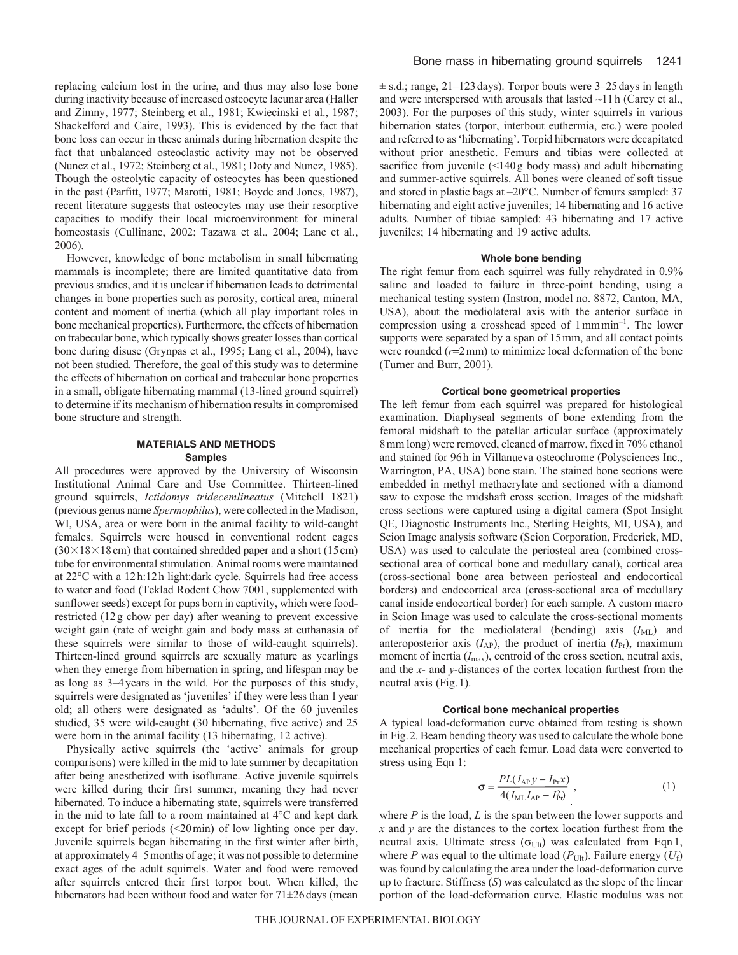replacing calcium lost in the urine, and thus may also lose bone during inactivity because of increased osteocyte lacunar area (Haller and Zimny, 1977; Steinberg et al., 1981; Kwiecinski et al., 1987; Shackelford and Caire, 1993). This is evidenced by the fact that bone loss can occur in these animals during hibernation despite the fact that unbalanced osteoclastic activity may not be observed (Nunez et al., 1972; Steinberg et al., 1981; Doty and Nunez, 1985). Though the osteolytic capacity of osteocytes has been questioned in the past (Parfitt, 1977; Marotti, 1981; Boyde and Jones, 1987), recent literature suggests that osteocytes may use their resorptive capacities to modify their local microenvironment for mineral homeostasis (Cullinane, 2002; Tazawa et al., 2004; Lane et al., 2006).

However, knowledge of bone metabolism in small hibernating mammals is incomplete; there are limited quantitative data from previous studies, and it is unclear if hibernation leads to detrimental changes in bone properties such as porosity, cortical area, mineral content and moment of inertia (which all play important roles in bone mechanical properties). Furthermore, the effects of hibernation on trabecular bone, which typically shows greater losses than cortical bone during disuse (Grynpas et al., 1995; Lang et al., 2004), have not been studied. Therefore, the goal of this study was to determine the effects of hibernation on cortical and trabecular bone properties in a small, obligate hibernating mammal (13-lined ground squirrel) to determine if its mechanism of hibernation results in compromised bone structure and strength.

# **MATERIALS AND METHODS Samples**

All procedures were approved by the University of Wisconsin Institutional Animal Care and Use Committee. Thirteen-lined ground squirrels, *Ictidomys tridecemlineatus* (Mitchell 1821) (previous genus name *Spermophilus*), were collected in the Madison, WI, USA, area or were born in the animal facility to wild-caught females. Squirrels were housed in conventional rodent cages  $(30\times18\times18$  cm) that contained shredded paper and a short (15 cm) tube for environmental stimulation. Animal rooms were maintained at 22°C with a 12h:12h light:dark cycle. Squirrels had free access to water and food (Teklad Rodent Chow 7001, supplemented with sunflower seeds) except for pups born in captivity, which were foodrestricted (12g chow per day) after weaning to prevent excessive weight gain (rate of weight gain and body mass at euthanasia of these squirrels were similar to those of wild-caught squirrels). Thirteen-lined ground squirrels are sexually mature as yearlings when they emerge from hibernation in spring, and lifespan may be as long as 3–4years in the wild. For the purposes of this study, squirrels were designated as 'juveniles' if they were less than 1 year old; all others were designated as 'adults'. Of the 60 juveniles studied, 35 were wild-caught (30 hibernating, five active) and 25 were born in the animal facility (13 hibernating, 12 active).

Physically active squirrels (the 'active' animals for group comparisons) were killed in the mid to late summer by decapitation after being anesthetized with isoflurane. Active juvenile squirrels were killed during their first summer, meaning they had never hibernated. To induce a hibernating state, squirrels were transferred in the mid to late fall to a room maintained at 4°C and kept dark except for brief periods (<20min) of low lighting once per day. Juvenile squirrels began hibernating in the first winter after birth, at approximately 4–5months of age; it was not possible to determine exact ages of the adult squirrels. Water and food were removed after squirrels entered their first torpor bout. When killed, the hibernators had been without food and water for 71±26 days (mean  $\pm$  s.d.; range, 21–123 days). Torpor bouts were 3–25 days in length and were interspersed with arousals that lasted  $\sim$ 11h (Carey et al., 2003). For the purposes of this study, winter squirrels in various hibernation states (torpor, interbout euthermia, etc.) were pooled and referred to as 'hibernating'. Torpid hibernators were decapitated without prior anesthetic. Femurs and tibias were collected at sacrifice from juvenile (<140g body mass) and adult hibernating and summer-active squirrels. All bones were cleaned of soft tissue and stored in plastic bags at –20°C. Number of femurs sampled: 37 hibernating and eight active juveniles; 14 hibernating and 16 active adults. Number of tibiae sampled: 43 hibernating and 17 active juveniles; 14 hibernating and 19 active adults.

# **Whole bone bending**

The right femur from each squirrel was fully rehydrated in 0.9% saline and loaded to failure in three-point bending, using a mechanical testing system (Instron, model no. 8872, Canton, MA, USA), about the mediolateral axis with the anterior surface in compression using a crosshead speed of  $1 \text{mm} \text{min}^{-1}$ . The lower supports were separated by a span of 15mm, and all contact points were rounded  $(r=2 \text{ mm})$  to minimize local deformation of the bone (Turner and Burr, 2001).

## **Cortical bone geometrical properties**

The left femur from each squirrel was prepared for histological examination. Diaphyseal segments of bone extending from the femoral midshaft to the patellar articular surface (approximately 8mm long) were removed, cleaned of marrow, fixed in 70% ethanol and stained for 96h in Villanueva osteochrome (Polysciences Inc., Warrington, PA, USA) bone stain. The stained bone sections were embedded in methyl methacrylate and sectioned with a diamond saw to expose the midshaft cross section. Images of the midshaft cross sections were captured using a digital camera (Spot Insight QE, Diagnostic Instruments Inc., Sterling Heights, MI, USA), and Scion Image analysis software (Scion Corporation, Frederick, MD, USA) was used to calculate the periosteal area (combined crosssectional area of cortical bone and medullary canal), cortical area (cross-sectional bone area between periosteal and endocortical borders) and endocortical area (cross-sectional area of medullary canal inside endocortical border) for each sample. A custom macro in Scion Image was used to calculate the cross-sectional moments of inertia for the mediolateral (bending) axis ( $I<sub>ML</sub>$ ) and anteroposterior axis  $(I_{AP})$ , the product of inertia  $(I_{Pr})$ , maximum moment of inertia ( $I_{\text{max}}$ ), centroid of the cross section, neutral axis, and the *x-* and *y*-distances of the cortex location furthest from the neutral axis (Fig.1).

#### **Cortical bone mechanical properties**

A typical load-deformation curve obtained from testing is shown in Fig.2. Beam bending theory was used to calculate the whole bone mechanical properties of each femur. Load data were converted to stress using Eqn 1:

$$
\sigma = \frac{PL(I_{AP}y - I_{Pr}x)}{4(I_{ML}I_{AP} - I_{Pv}^2)},
$$
\n(1)

where *P* is the load, *L* is the span between the lower supports and *x* and *y* are the distances to the cortex location furthest from the neutral axis. Ultimate stress  $(\sigma_{U|t})$  was calculated from Eqn 1, where *P* was equal to the ultimate load  $(P_{U|t})$ . Failure energy  $(U_f)$ was found by calculating the area under the load-deformation curve up to fracture. Stiffness (*S*) was calculated as the slope of the linear portion of the load-deformation curve. Elastic modulus was not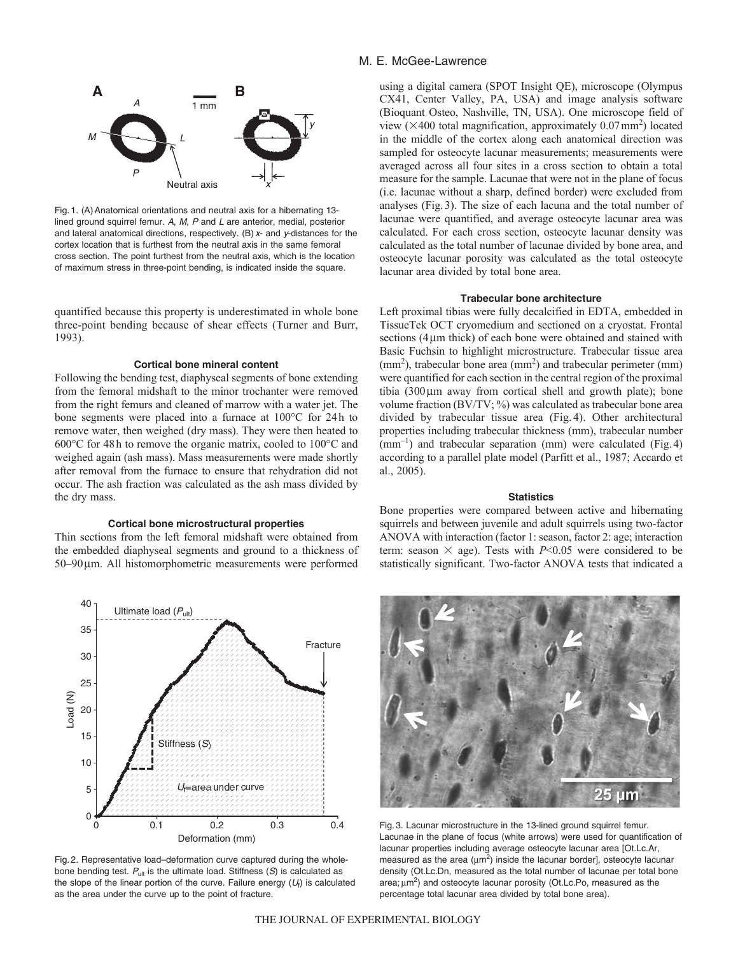

Fig. 1. (A) Anatomical orientations and neutral axis for a hibernating 13lined ground squirrel femur. A, M, P and L are anterior, medial, posterior and lateral anatomical directions, respectively. (B) x- and y-distances for the cortex location that is furthest from the neutral axis in the same femoral cross section. The point furthest from the neutral axis, which is the location of maximum stress in three-point bending, is indicated inside the square.

quantified because this property is underestimated in whole bone three-point bending because of shear effects (Turner and Burr, 1993).

#### **Cortical bone mineral content**

Following the bending test, diaphyseal segments of bone extending from the femoral midshaft to the minor trochanter were removed from the right femurs and cleaned of marrow with a water jet. The bone segments were placed into a furnace at 100°C for 24h to remove water, then weighed (dry mass). They were then heated to 600°C for 48h to remove the organic matrix, cooled to 100°C and weighed again (ash mass). Mass measurements were made shortly after removal from the furnace to ensure that rehydration did not occur. The ash fraction was calculated as the ash mass divided by the dry mass.

# **Cortical bone microstructural properties**

Thin sections from the left femoral midshaft were obtained from the embedded diaphyseal segments and ground to a thickness of 50–90m. All histomorphometric measurements were performed



Fig. 2. Representative load–deformation curve captured during the wholebone bending test.  $P_{ult}$  is the ultimate load. Stiffness (S) is calculated as the slope of the linear portion of the curve. Failure energy  $(U<sub>f</sub>)$  is calculated as the area under the curve up to the point of fracture.

# M. E. McGee-Lawrence

using a digital camera (SPOT Insight QE), microscope (Olympus CX41, Center Valley, PA, USA) and image analysis software (Bioquant Osteo, Nashville, TN, USA). One microscope field of view ( $\times$ 400 total magnification, approximately 0.07 mm<sup>2</sup>) located in the middle of the cortex along each anatomical direction was sampled for osteocyte lacunar measurements; measurements were averaged across all four sites in a cross section to obtain a total measure for the sample. Lacunae that were not in the plane of focus (i.e. lacunae without a sharp, defined border) were excluded from analyses (Fig.3). The size of each lacuna and the total number of lacunae were quantified, and average osteocyte lacunar area was calculated. For each cross section, osteocyte lacunar density was calculated as the total number of lacunae divided by bone area, and osteocyte lacunar porosity was calculated as the total osteocyte lacunar area divided by total bone area.

## **Trabecular bone architecture**

Left proximal tibias were fully decalcified in EDTA, embedded in TissueTek OCT cryomedium and sectioned on a cryostat. Frontal sections  $(4 \mu m)$  thick) of each bone were obtained and stained with Basic Fuchsin to highlight microstructure. Trabecular tissue area  $\text{(mm}^2)$ , trabecular bone area  $\text{(mm}^2)$  and trabecular perimeter  $\text{(mm)}$ were quantified for each section in the central region of the proximal tibia  $(300 \,\mu m)$  away from cortical shell and growth plate); bone volume fraction (BV/TV; %) was calculated as trabecular bone area divided by trabecular tissue area (Fig. 4). Other architectural properties including trabecular thickness (mm), trabecular number  $(mm<sup>-1</sup>)$  and trabecular separation (mm) were calculated (Fig. 4) according to a parallel plate model (Parfitt et al., 1987; Accardo et al., 2005).

#### **Statistics**

Bone properties were compared between active and hibernating squirrels and between juvenile and adult squirrels using two-factor ANOVA with interaction (factor 1: season, factor 2: age; interaction term: season  $\times$  age). Tests with *P*<0.05 were considered to be statistically significant. Two-factor ANOVA tests that indicated a



Fig. 3. Lacunar microstructure in the 13-lined ground squirrel femur. Lacunae in the plane of focus (white arrows) were used for quantification of lacunar properties including average osteocyte lacunar area [Ot.Lc.Ar, measured as the area ( $\mu$ m<sup>2</sup>) inside the lacunar border], osteocyte lacunar density (Ot.Lc.Dn, measured as the total number of lacunae per total bone area;  $\mu$ m<sup>2</sup>) and osteocyte lacunar porosity (Ot.Lc.Po, measured as the percentage total lacunar area divided by total bone area).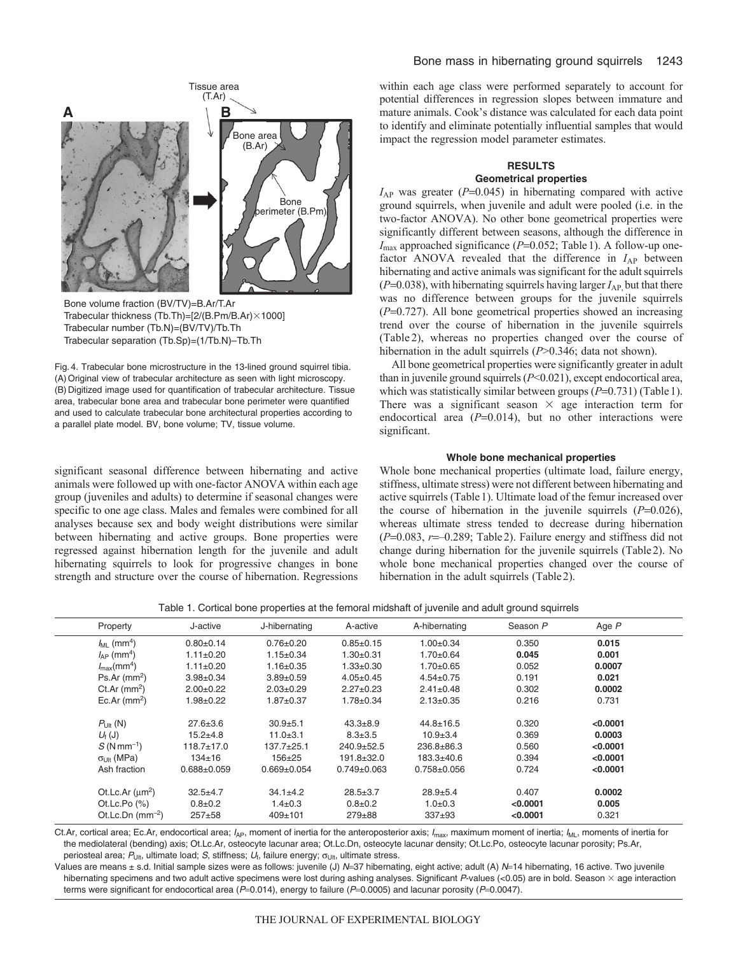

Bone volume fraction (BV/TV)=B.Ar/T.Ar Trabecular thickness (Tb.Th)=[2/(B.Pm/B.Ar) $\times$ 1000] Trabecular number (Tb.N)=(BV/TV)/Tb.Th Trabecular separation (Tb.Sp)=(1/Tb.N)–Tb.Th

Fig. 4. Trabecular bone microstructure in the 13-lined ground squirrel tibia. (A)Original view of trabecular architecture as seen with light microscopy. (B) Digitized image used for quantification of trabecular architecture. Tissue area, trabecular bone area and trabecular bone perimeter were quantified and used to calculate trabecular bone architectural properties according to a parallel plate model. BV, bone volume; TV, tissue volume.

significant seasonal difference between hibernating and active animals were followed up with one-factor ANOVA within each age group (juveniles and adults) to determine if seasonal changes were specific to one age class. Males and females were combined for all analyses because sex and body weight distributions were similar between hibernating and active groups. Bone properties were regressed against hibernation length for the juvenile and adult hibernating squirrels to look for progressive changes in bone strength and structure over the course of hibernation. Regressions within each age class were performed separately to account for potential differences in regression slopes between immature and mature animals. Cook's distance was calculated for each data point to identify and eliminate potentially influential samples that would impact the regression model parameter estimates.

# **RESULTS**

# **Geometrical properties**

 $I_{AP}$  was greater ( $P=0.045$ ) in hibernating compared with active ground squirrels, when juvenile and adult were pooled (i.e. in the two-factor ANOVA). No other bone geometrical properties were significantly different between seasons, although the difference in  $I_{\text{max}}$  approached significance ( $P=0.052$ ; Table 1). A follow-up onefactor ANOVA revealed that the difference in  $I_{AP}$  between hibernating and active animals was significant for the adult squirrels  $(P=0.038)$ , with hibernating squirrels having larger  $I_{AP}$ , but that there was no difference between groups for the juvenile squirrels  $(P=0.727)$ . All bone geometrical properties showed an increasing trend over the course of hibernation in the juvenile squirrels (Table 2), whereas no properties changed over the course of hibernation in the adult squirrels (*P*>0.346; data not shown).

All bone geometrical properties were significantly greater in adult than in juvenile ground squirrels (*P*<0.021), except endocortical area, which was statistically similar between groups  $(P=0.731)$  (Table 1). There was a significant season  $\times$  age interaction term for endocortical area  $(P=0.014)$ , but no other interactions were significant.

#### **Whole bone mechanical properties**

Whole bone mechanical properties (ultimate load, failure energy, stiffness, ultimate stress) were not different between hibernating and active squirrels (Table1). Ultimate load of the femur increased over the course of hibernation in the juvenile squirrels  $(P=0.026)$ , whereas ultimate stress tended to decrease during hibernation  $(P=0.083, r=-0.289;$  Table 2). Failure energy and stiffness did not change during hibernation for the juvenile squirrels (Table2). No whole bone mechanical properties changed over the course of hibernation in the adult squirrels (Table2).

|  | Table 1. Cortical bone properties at the femoral midshaft of juvenile and adult ground squirrels |  |  |  |
|--|--------------------------------------------------------------------------------------------------|--|--|--|
|  |                                                                                                  |  |  |  |

| Property                    | J-active          | J-hibernating     | A-active          | A-hibernating     | Season P | Age $P$  |  |
|-----------------------------|-------------------|-------------------|-------------------|-------------------|----------|----------|--|
| $J_{ML}$ (mm <sup>4</sup> ) | $0.80+0.14$       | $0.76 \pm 0.20$   | $0.85 + 0.15$     | $1.00 \pm 0.34$   | 0.350    | 0.015    |  |
| $I_{AP}$ (mm <sup>4</sup> ) | $1.11 \pm 0.20$   | $1.15 \pm 0.34$   | $1.30+0.31$       | $1.70 \pm 0.64$   | 0.045    | 0.001    |  |
| $I_{\rm max}(mm^4)$         | $1.11 \pm 0.20$   | $1.16 \pm 0.35$   | $1.33 \pm 0.30$   | $1.70 \pm 0.65$   | 0.052    | 0.0007   |  |
| $Ps.Ar$ (mm <sup>2</sup> )  | $3.98 \pm 0.34$   | $3.89 + 0.59$     | $4.05 \pm 0.45$   | $4.54 \pm 0.75$   | 0.191    | 0.021    |  |
| Ct.Ar $(mm2)$               | $2.00+0.22$       | $2.03 \pm 0.29$   | $2.27 \pm 0.23$   | $2.41 \pm 0.48$   | 0.302    | 0.0002   |  |
| Ec.Ar $(mm^2)$              | $1.98 + 0.22$     | $1.87 + 0.37$     | $1.78 \pm 0.34$   | $2.13 \pm 0.35$   | 0.216    | 0.731    |  |
| $P_{U t}$ (N)               | $27.6 \pm 3.6$    | $30.9 + 5.1$      | $43.3 + 8.9$      | $44.8 \pm 16.5$   | 0.320    | < 0.0001 |  |
| $U_{\text{f}}(J)$           | $15.2 + 4.8$      | $11.0 + 3.1$      | $8.3 \pm 3.5$     | $10.9 + 3.4$      | 0.369    | 0.0003   |  |
| $S(Nmm^{-1})$               | $118.7 \pm 17.0$  | $137.7 + 25.1$    | $240.9 + 52.5$    | $236.8 \pm 86.3$  | 0.560    | < 0.0001 |  |
| $\sigma_{\text{Ult}}$ (MPa) | $134 \pm 16$      | $156 + 25$        | $191.8 \pm 32.0$  | $183.3 + 40.6$    | 0.394    | < 0.0001 |  |
| Ash fraction                | $0.688 \pm 0.059$ | $0.669 \pm 0.054$ | $0.749 \pm 0.063$ | $0.758 \pm 0.056$ | 0.724    | < 0.0001 |  |
| Ot.Lc.Ar $(\mu m^2)$        | $32.5 + 4.7$      | $34.1 \pm 4.2$    | $28.5 \pm 3.7$    | $28.9 + 5.4$      | 0.407    | 0.0002   |  |
| Ot.Lc.Po $(\%)$             | $0.8 + 0.2$       | $1.4 \pm 0.3$     | $0.8 + 0.2$       | $1.0 + 0.3$       | < 0.0001 | 0.005    |  |
| Ot.Lc.Dn $(mm^{-2})$        | $257 + 58$        | $409 \pm 101$     | $279 + 88$        | $337+93$          | < 0.0001 | 0.321    |  |
|                             |                   |                   |                   |                   |          |          |  |

Ct.Ar, cortical area; Ec.Ar, endocortical area;  $I_{AP}$ , moment of inertia for the anteroposterior axis;  $I_{max}$ , maximum moment of inertia;  $I_{ML}$ , moments of inertia for the mediolateral (bending) axis; Ot.Lc.Ar, osteocyte lacunar area; Ot.Lc.Dn, osteocyte lacunar density; Ot.Lc.Po, osteocyte lacunar porosity; Ps.Ar, periosteal area;  $P_{U|t}$ , ultimate load; S, stiffness;  $U_f$ , failure energy;  $\sigma_{U|t}$ , ultimate stress.

Values are means  $\pm$  s.d. Initial sample sizes were as follows: juvenile (J) N=37 hibernating, eight active; adult (A) N=14 hibernating, 16 active. Two juvenile hibernating specimens and two adult active specimens were lost during ashing analyses. Significant P-values (<0.05) are in bold. Season  $\times$  age interaction terms were significant for endocortical area ( $P=0.014$ ), energy to failure ( $P=0.0005$ ) and lacunar porosity ( $P=0.0047$ ).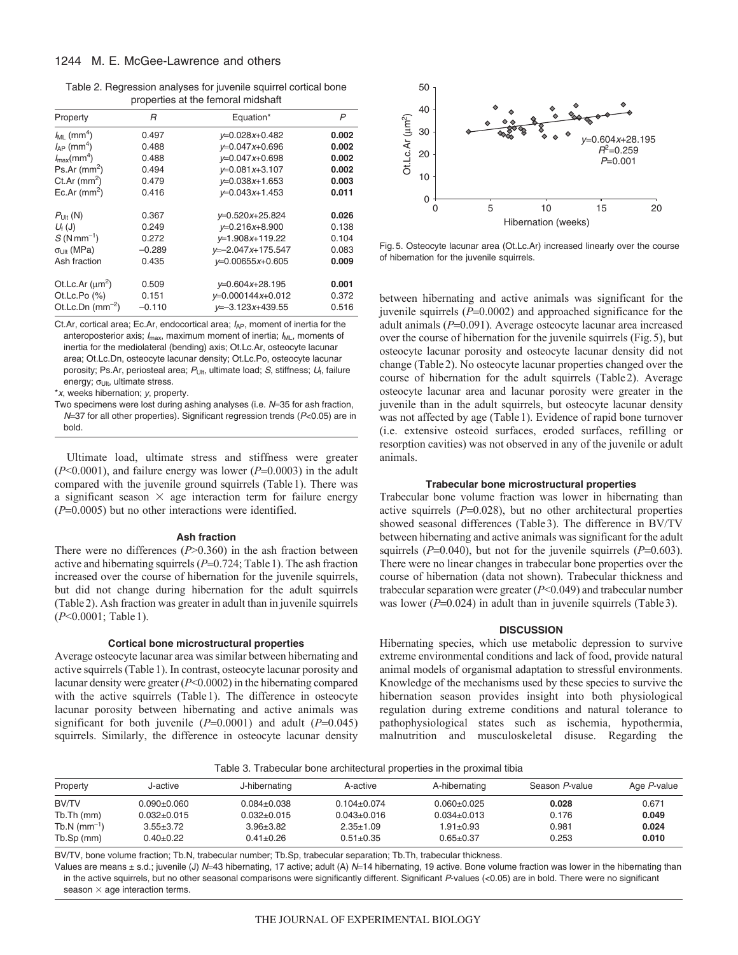Table 2. Regression analyses for juvenile squirrel cortical bone properties at the femoral midshaft

| Property                            | R        | Equation*           | P     |
|-------------------------------------|----------|---------------------|-------|
| $J_{ML}$ (mm <sup>4</sup> )         | 0.497    | $v=0.028x+0.482$    | 0.002 |
| $I_{AP}$ (mm <sup>4</sup> )         | 0.488    | $v=0.047x+0.696$    | 0.002 |
| $I_{\text{max}}$ (mm <sup>4</sup> ) | 0.488    | $v=0.047x+0.698$    | 0.002 |
| $Ps.Ar$ (mm <sup>2</sup> )          | 0.494    | $v=0.081x+3.107$    | 0.002 |
| Ct.Ar $(mm2)$                       | 0.479    | $v=0.038x+1.653$    | 0.003 |
| Ec.Ar $(mm^2)$                      | 0.416    | $v=0.043x+1.453$    | 0.011 |
| $P_{U t}$ (N)                       | 0.367    | $v=0.520x+25.824$   | 0.026 |
| $U_{\text{f}}(J)$                   | 0.249    | $V=0.216x+8.900$    | 0.138 |
| $S(Nmm^{-1})$                       | 0.272    | $v=1.908x+119.22$   | 0.104 |
| $\sigma_{\text{Lilt}}$ (MPa)        | $-0.289$ | $v=-2.047x+175.547$ | 0.083 |
| Ash fraction                        | 0.435    | $v=0.00655x+0.605$  | 0.009 |
| Ot.Lc.Ar $(\mu m^2)$                | 0.509    | $v=0.604x+28.195$   | 0.001 |
| Ot.Lc.Po $(%)$                      | 0.151    | $v=0.000144x+0.012$ | 0.372 |
| Ot.Lc.Dn $(mm^{-2})$                | $-0.110$ | $v=-3.123x+439.55$  | 0.516 |

Ct.Ar, cortical area; Ec.Ar, endocortical area;  $I_{AP}$ , moment of inertia for the anteroposterior axis;  $I_{\text{max}}$ , maximum moment of inertia;  $I_{\text{ML}}$ , moments of inertia for the mediolateral (bending) axis; Ot.Lc.Ar, osteocyte lacunar area; Ot.Lc.Dn, osteocyte lacunar density; Ot.Lc.Po, osteocyte lacunar porosity; Ps.Ar, periosteal area;  $P_{U|t}$ , ultimate load; S, stiffness;  $U_f$ , failure energy;  $\sigma_{U|t}$ , ultimate stress.

\*x, weeks hibernation; y, property.

Two specimens were lost during ashing analyses (i.e.  $N=35$  for ash fraction, N=37 for all other properties). Significant regression trends (P<0.05) are in bold.

Ultimate load, ultimate stress and stiffness were greater  $(P<0.0001)$ , and failure energy was lower  $(P=0.0003)$  in the adult compared with the juvenile ground squirrels (Table1). There was a significant season  $\times$  age interaction term for failure energy  $(P=0.0005)$  but no other interactions were identified.

#### **Ash fraction**

There were no differences  $(P>0.360)$  in the ash fraction between active and hibernating squirrels  $(P=0.724$ ; Table 1). The ash fraction increased over the course of hibernation for the juvenile squirrels, but did not change during hibernation for the adult squirrels (Table2). Ash fraction was greater in adult than in juvenile squirrels (*P*<0.0001; Table1).

### **Cortical bone microstructural properties**

Average osteocyte lacunar area was similar between hibernating and active squirrels (Table1). In contrast, osteocyte lacunar porosity and lacunar density were greater (*P*<0.0002) in the hibernating compared with the active squirrels (Table1). The difference in osteocyte lacunar porosity between hibernating and active animals was significant for both juvenile  $(P=0.0001)$  and adult  $(P=0.045)$ squirrels. Similarly, the difference in osteocyte lacunar density



Fig. 5. Osteocyte lacunar area (Ot.Lc.Ar) increased linearly over the course of hibernation for the juvenile squirrels.

between hibernating and active animals was significant for the juvenile squirrels  $(P=0.0002)$  and approached significance for the adult animals ( $P=0.091$ ). Average osteocyte lacunar area increased over the course of hibernation for the juvenile squirrels (Fig.5), but osteocyte lacunar porosity and osteocyte lacunar density did not change (Table2). No osteocyte lacunar properties changed over the course of hibernation for the adult squirrels (Table2). Average osteocyte lacunar area and lacunar porosity were greater in the juvenile than in the adult squirrels, but osteocyte lacunar density was not affected by age (Table1). Evidence of rapid bone turnover (i.e. extensive osteoid surfaces, eroded surfaces, refilling or resorption cavities) was not observed in any of the juvenile or adult animals.

#### **Trabecular bone microstructural properties**

Trabecular bone volume fraction was lower in hibernating than active squirrels  $(P=0.028)$ , but no other architectural properties showed seasonal differences (Table3). The difference in BV/TV between hibernating and active animals was significant for the adult squirrels  $(P=0.040)$ , but not for the juvenile squirrels  $(P=0.603)$ . There were no linear changes in trabecular bone properties over the course of hibernation (data not shown). Trabecular thickness and trabecular separation were greater (*P*<0.049) and trabecular number was lower  $(P=0.024)$  in adult than in juvenile squirrels (Table 3).

#### **DISCUSSION**

Hibernating species, which use metabolic depression to survive extreme environmental conditions and lack of food, provide natural animal models of organismal adaptation to stressful environments. Knowledge of the mechanisms used by these species to survive the hibernation season provides insight into both physiological regulation during extreme conditions and natural tolerance to pathophysiological states such as ischemia, hypothermia, malnutrition and musculoskeletal disuse. Regarding the

Table 3. Trabecular bone architectural properties in the proximal tibia

| Property                   | J-active          | J-hibernating     | A-active          | A-hibernating     | Season P-value | Age P-value |
|----------------------------|-------------------|-------------------|-------------------|-------------------|----------------|-------------|
| <b>BV/TV</b>               | $0.090 + 0.060$   | $0.084 \pm 0.038$ | $0.104 \pm 0.074$ | $0.060 + 0.025$   | 0.028          | 0.671       |
| Tb.Th (mm)                 | $0.032 \pm 0.015$ | $0.032 \pm 0.015$ | $0.043 \pm 0.016$ | $0.034 \pm 0.013$ | 0.176          | 0.049       |
| $Tb.N$ (mm <sup>-1</sup> ) | $3.55 + 3.72$     | $3.96 + 3.82$     | $2.35 \pm 1.09$   | $1.91 \pm 0.93$   | 0.981          | 0.024       |
| Tb.Sp (mm)                 | $0.40 + 0.22$     | $0.41 \pm 0.26$   | $0.51 \pm 0.35$   | $0.65 + 0.37$     | 0.253          | 0.010       |

BV/TV, bone volume fraction; Tb.N, trabecular number; Tb.Sp, trabecular separation; Tb.Th, trabecular thickness.

Values are means  $\pm$  s.d.; juvenile (J) N=43 hibernating, 17 active; adult (A) N=14 hibernating, 19 active. Bone volume fraction was lower in the hibernating than in the active squirrels, but no other seasonal comparisons were significantly different. Significant P-values (<0.05) are in bold. There were no significant season  $\times$  age interaction terms.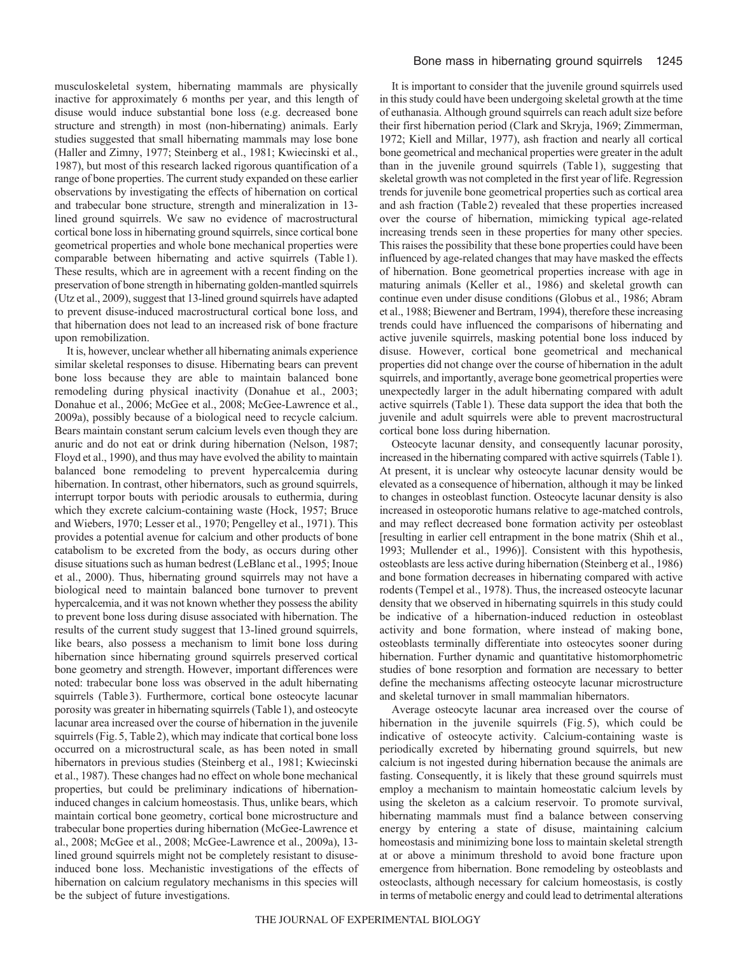musculoskeletal system, hibernating mammals are physically inactive for approximately 6 months per year, and this length of disuse would induce substantial bone loss (e.g. decreased bone structure and strength) in most (non-hibernating) animals. Early studies suggested that small hibernating mammals may lose bone (Haller and Zimny, 1977; Steinberg et al., 1981; Kwiecinski et al., 1987), but most of this research lacked rigorous quantification of a range of bone properties. The current study expanded on these earlier observations by investigating the effects of hibernation on cortical and trabecular bone structure, strength and mineralization in 13 lined ground squirrels. We saw no evidence of macrostructural cortical bone loss in hibernating ground squirrels, since cortical bone geometrical properties and whole bone mechanical properties were comparable between hibernating and active squirrels (Table1). These results, which are in agreement with a recent finding on the preservation of bone strength in hibernating golden-mantled squirrels (Utz et al., 2009), suggest that 13-lined ground squirrels have adapted to prevent disuse-induced macrostructural cortical bone loss, and that hibernation does not lead to an increased risk of bone fracture upon remobilization.

It is, however, unclear whether all hibernating animals experience similar skeletal responses to disuse. Hibernating bears can prevent bone loss because they are able to maintain balanced bone remodeling during physical inactivity (Donahue et al., 2003; Donahue et al., 2006; McGee et al., 2008; McGee-Lawrence et al., 2009a), possibly because of a biological need to recycle calcium. Bears maintain constant serum calcium levels even though they are anuric and do not eat or drink during hibernation (Nelson, 1987; Floyd et al., 1990), and thus may have evolved the ability to maintain balanced bone remodeling to prevent hypercalcemia during hibernation. In contrast, other hibernators, such as ground squirrels, interrupt torpor bouts with periodic arousals to euthermia, during which they excrete calcium-containing waste (Hock, 1957; Bruce and Wiebers, 1970; Lesser et al., 1970; Pengelley et al., 1971). This provides a potential avenue for calcium and other products of bone catabolism to be excreted from the body, as occurs during other disuse situations such as human bedrest (LeBlanc et al., 1995; Inoue et al., 2000). Thus, hibernating ground squirrels may not have a biological need to maintain balanced bone turnover to prevent hypercalcemia, and it was not known whether they possess the ability to prevent bone loss during disuse associated with hibernation. The results of the current study suggest that 13-lined ground squirrels, like bears, also possess a mechanism to limit bone loss during hibernation since hibernating ground squirrels preserved cortical bone geometry and strength. However, important differences were noted: trabecular bone loss was observed in the adult hibernating squirrels (Table3). Furthermore, cortical bone osteocyte lacunar porosity was greater in hibernating squirrels (Table1), and osteocyte lacunar area increased over the course of hibernation in the juvenile squirrels (Fig.5, Table2), which may indicate that cortical bone loss occurred on a microstructural scale, as has been noted in small hibernators in previous studies (Steinberg et al., 1981; Kwiecinski et al., 1987). These changes had no effect on whole bone mechanical properties, but could be preliminary indications of hibernationinduced changes in calcium homeostasis. Thus, unlike bears, which maintain cortical bone geometry, cortical bone microstructure and trabecular bone properties during hibernation (McGee-Lawrence et al., 2008; McGee et al., 2008; McGee-Lawrence et al., 2009a), 13 lined ground squirrels might not be completely resistant to disuseinduced bone loss. Mechanistic investigations of the effects of hibernation on calcium regulatory mechanisms in this species will be the subject of future investigations.

It is important to consider that the juvenile ground squirrels used in this study could have been undergoing skeletal growth at the time of euthanasia. Although ground squirrels can reach adult size before their first hibernation period (Clark and Skryja, 1969; Zimmerman, 1972; Kiell and Millar, 1977), ash fraction and nearly all cortical bone geometrical and mechanical properties were greater in the adult than in the juvenile ground squirrels (Table1), suggesting that skeletal growth was not completed in the first year of life. Regression trends for juvenile bone geometrical properties such as cortical area and ash fraction (Table2) revealed that these properties increased over the course of hibernation, mimicking typical age-related increasing trends seen in these properties for many other species. This raises the possibility that these bone properties could have been influenced by age-related changes that may have masked the effects of hibernation. Bone geometrical properties increase with age in maturing animals (Keller et al., 1986) and skeletal growth can continue even under disuse conditions (Globus et al., 1986; Abram et al., 1988; Biewener and Bertram, 1994), therefore these increasing trends could have influenced the comparisons of hibernating and active juvenile squirrels, masking potential bone loss induced by disuse. However, cortical bone geometrical and mechanical properties did not change over the course of hibernation in the adult squirrels, and importantly, average bone geometrical properties were unexpectedly larger in the adult hibernating compared with adult active squirrels (Table1). These data support the idea that both the juvenile and adult squirrels were able to prevent macrostructural cortical bone loss during hibernation.

Osteocyte lacunar density, and consequently lacunar porosity, increased in the hibernating compared with active squirrels (Table1). At present, it is unclear why osteocyte lacunar density would be elevated as a consequence of hibernation, although it may be linked to changes in osteoblast function. Osteocyte lacunar density is also increased in osteoporotic humans relative to age-matched controls, and may reflect decreased bone formation activity per osteoblast [resulting in earlier cell entrapment in the bone matrix (Shih et al., 1993; Mullender et al., 1996)]. Consistent with this hypothesis, osteoblasts are less active during hibernation (Steinberg et al., 1986) and bone formation decreases in hibernating compared with active rodents (Tempel et al., 1978). Thus, the increased osteocyte lacunar density that we observed in hibernating squirrels in this study could be indicative of a hibernation-induced reduction in osteoblast activity and bone formation, where instead of making bone, osteoblasts terminally differentiate into osteocytes sooner during hibernation. Further dynamic and quantitative histomorphometric studies of bone resorption and formation are necessary to better define the mechanisms affecting osteocyte lacunar microstructure and skeletal turnover in small mammalian hibernators.

Average osteocyte lacunar area increased over the course of hibernation in the juvenile squirrels (Fig. 5), which could be indicative of osteocyte activity. Calcium-containing waste is periodically excreted by hibernating ground squirrels, but new calcium is not ingested during hibernation because the animals are fasting. Consequently, it is likely that these ground squirrels must employ a mechanism to maintain homeostatic calcium levels by using the skeleton as a calcium reservoir. To promote survival, hibernating mammals must find a balance between conserving energy by entering a state of disuse, maintaining calcium homeostasis and minimizing bone loss to maintain skeletal strength at or above a minimum threshold to avoid bone fracture upon emergence from hibernation. Bone remodeling by osteoblasts and osteoclasts, although necessary for calcium homeostasis, is costly in terms of metabolic energy and could lead to detrimental alterations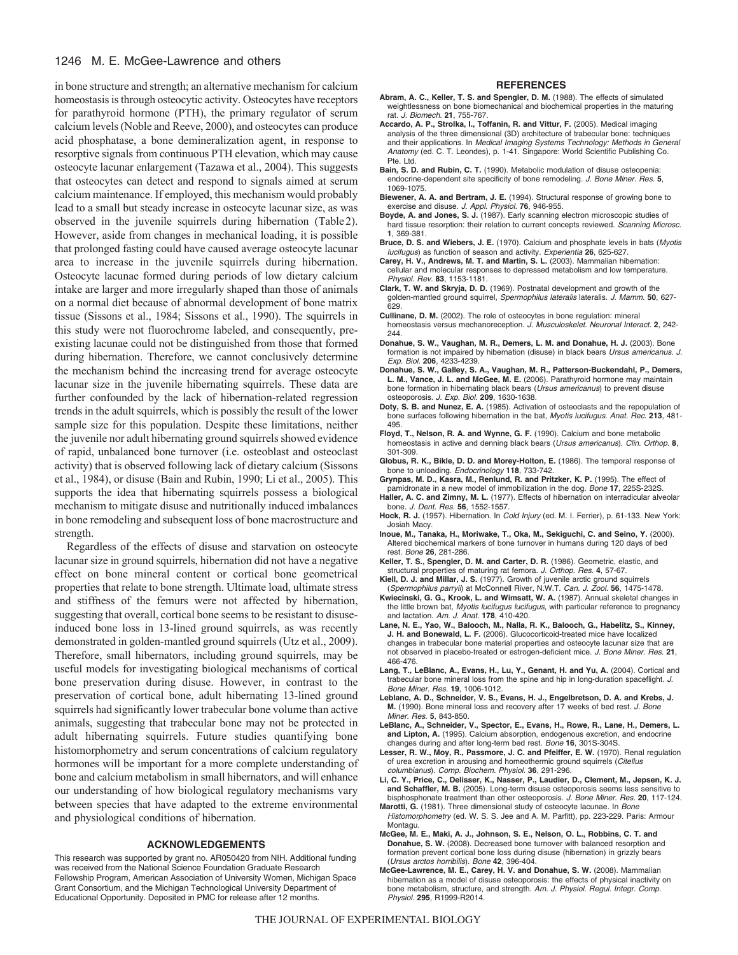# 1246 M. E. McGee-Lawrence and others

in bone structure and strength; an alternative mechanism for calcium homeostasis is through osteocytic activity. Osteocytes have receptors for parathyroid hormone (PTH), the primary regulator of serum calcium levels (Noble and Reeve, 2000), and osteocytes can produce acid phosphatase, a bone demineralization agent, in response to resorptive signals from continuous PTH elevation, which may cause osteocyte lacunar enlargement (Tazawa et al., 2004). This suggests that osteocytes can detect and respond to signals aimed at serum calcium maintenance. If employed, this mechanism would probably lead to a small but steady increase in osteocyte lacunar size, as was observed in the juvenile squirrels during hibernation (Table2). However, aside from changes in mechanical loading, it is possible that prolonged fasting could have caused average osteocyte lacunar area to increase in the juvenile squirrels during hibernation. Osteocyte lacunae formed during periods of low dietary calcium intake are larger and more irregularly shaped than those of animals on a normal diet because of abnormal development of bone matrix tissue (Sissons et al., 1984; Sissons et al., 1990). The squirrels in this study were not fluorochrome labeled, and consequently, preexisting lacunae could not be distinguished from those that formed during hibernation. Therefore, we cannot conclusively determine the mechanism behind the increasing trend for average osteocyte lacunar size in the juvenile hibernating squirrels. These data are further confounded by the lack of hibernation-related regression trends in the adult squirrels, which is possibly the result of the lower sample size for this population. Despite these limitations, neither the juvenile nor adult hibernating ground squirrels showed evidence of rapid, unbalanced bone turnover (i.e. osteoblast and osteoclast activity) that is observed following lack of dietary calcium (Sissons et al., 1984), or disuse (Bain and Rubin, 1990; Li et al., 2005). This supports the idea that hibernating squirrels possess a biological mechanism to mitigate disuse and nutritionally induced imbalances in bone remodeling and subsequent loss of bone macrostructure and strength.

Regardless of the effects of disuse and starvation on osteocyte lacunar size in ground squirrels, hibernation did not have a negative effect on bone mineral content or cortical bone geometrical properties that relate to bone strength. Ultimate load, ultimate stress and stiffness of the femurs were not affected by hibernation, suggesting that overall, cortical bone seems to be resistant to disuseinduced bone loss in 13-lined ground squirrels, as was recently demonstrated in golden-mantled ground squirrels (Utz et al., 2009). Therefore, small hibernators, including ground squirrels, may be useful models for investigating biological mechanisms of cortical bone preservation during disuse. However, in contrast to the preservation of cortical bone, adult hibernating 13-lined ground squirrels had significantly lower trabecular bone volume than active animals, suggesting that trabecular bone may not be protected in adult hibernating squirrels. Future studies quantifying bone histomorphometry and serum concentrations of calcium regulatory hormones will be important for a more complete understanding of bone and calcium metabolism in small hibernators, and will enhance our understanding of how biological regulatory mechanisms vary between species that have adapted to the extreme environmental and physiological conditions of hibernation.

#### **ACKNOWLEDGEMENTS**

#### **REFERENCES**

- **Abram, A. C., Keller, T. S. and Spengler, D. M.** (1988). The effects of simulated weightlessness on bone biomechanical and biochemical properties in the maturing rat. J. Biomech. **21**, 755-767.
- **Accardo, A. P., Strolka, I., Toffanin, R. and Vittur, F.** (2005). Medical imaging analysis of the three dimensional (3D) architecture of trabecular bone: techniques and their applications. In Medical Imaging Systems Technology: Methods in General Anatomy (ed. C. T. Leondes), p. 1-41. Singapore: World Scientific Publishing Co. Pte. Ltd.
- **Bain, S. D. and Rubin, C. T.** (1990). Metabolic modulation of disuse osteopenia: endocrine-dependent site specificity of bone remodeling. J. Bone Miner. Res. **5**, 1069-1075.
- **Biewener, A. A. and Bertram, J. E.** (1994). Structural response of growing bone to exercise and disuse. J. Appl. Physiol. **76**, 946-955.
- **Boyde, A. and Jones, S. J.** (1987). Early scanning electron microscopic studies of hard tissue resorption: their relation to current concepts reviewed. Scanning Microsc. **1**, 369-381.
- **Bruce, D. S. and Wiebers, J. E.** (1970). Calcium and phosphate levels in bats (Myotis lucifugus) as function of season and activity. Experientia **26**, 625-627.
- **Carey, H. V., Andrews, M. T. and Martin, S. L.** (2003). Mammalian hibernation: cellular and molecular responses to depressed metabolism and low temperature. Physiol. Rev. **83**, 1153-1181.
- **Clark, T. W. and Skryja, D. D.** (1969). Postnatal development and growth of the golden-mantled ground squirrel, Spermophilus lateralis lateralis. J. Mamm. **50**, 627- 629.
- **Cullinane, D. M.** (2002). The role of osteocytes in bone regulation: mineral homeostasis versus mechanoreception. J. Musculoskelet. Neuronal Interact. **2**, 242- 244.
- **Donahue, S. W., Vaughan, M. R., Demers, L. M. and Donahue, H. J.** (2003). Bone formation is not impaired by hibernation (disuse) in black bears Ursus americanus. J. Exp. Biol. **206**, 4233-4239.
- **Donahue, S. W., Galley, S. A., Vaughan, M. R., Patterson-Buckendahl, P., Demers, L. M., Vance, J. L. and McGee, M. E.** (2006). Parathyroid hormone may maintain bone formation in hibernating black bears (Ursus americanus) to prevent disuse osteoporosis. J. Exp. Biol. **209**, 1630-1638.
- **Doty, S. B. and Nunez, E. A.** (1985). Activation of osteoclasts and the repopulation of bone surfaces following hibernation in the bat, Myotis lucifugus. Anat. Rec. **213**, 481- 495.
- **Floyd, T., Nelson, R. A. and Wynne, G. F.** (1990). Calcium and bone metabolic homeostasis in active and denning black bears (Ursus americanus). Clin. Orthop. **8**, 301-309.
- **Globus, R. K., Bikle, D. D. and Morey-Holton, E.** (1986). The temporal response of bone to unloading. Endocrinology **118**, 733-742.
- **Grynpas, M. D., Kasra, M., Renlund, R. and Pritzker, K. P.** (1995). The effect of pamidronate in a new model of immobilization in the dog. Bone **17**, 225S-232S. Haller, A. C. and Zimny, M. L. (1977). Effects of hibernation on interradicular alveolar
- bone. J. Dent. Res. **56**, 1552-1557. Hock, R. J. (1957). Hibernation. In *Cold Injury* (ed. M. I. Ferrier), p. 61-133. New York:
- Josiah Macy.
- **Inoue, M., Tanaka, H., Moriwake, T., Oka, M., Sekiguchi, C. and Seino, Y.** (2000). Altered biochemical markers of bone turnover in humans during 120 days of bed rest. Bone **26**, 281-286.
- **Keller, T. S., Spengler, D. M. and Carter, D. R.** (1986). Geometric, elastic, and structural properties of maturing rat femora. J. Orthop. Res. **4**, 57-67.
- **Kiell, D. J. and Millar, J. S.** (1977). Growth of juvenile arctic ground squirrels (Spermophilus parryii) at McConnell River, N.W.T. Can. J. Zool. **56**, 1475-1478.
- **Kwiecinski, G. G., Krook, L. and Wimsatt, W. A.** (1987). Annual skeletal changes in the little brown bat, Myotis lucifugus lucifugus, with particular reference to pregnancy and lactation. Am. J. Anat. **178**, 410-420.
- **Lane, N. E., Yao, W., Balooch, M., Nalla, R. K., Balooch, G., Habelitz, S., Kinney, J. H. and Bonewald, L. F.** (2006). Glucocorticoid-treated mice have localized changes in trabecular bone material properties and osteocyte lacunar size that are not observed in placebo-treated or estrogen-deficient mice. J. Bone Miner. Res. **21**, 466-476.
- **Lang, T., LeBlanc, A., Evans, H., Lu, Y., Genant, H. and Yu, A.** (2004). Cortical and trabecular bone mineral loss from the spine and hip in long-duration spaceflight. J. Bone Miner. Res. **19**, 1006-1012.
- **Leblanc, A. D., Schneider, V. S., Evans, H. J., Engelbretson, D. A. and Krebs, J. M.** (1990). Bone mineral loss and recovery after 17 weeks of bed rest. J. Bone Miner. Res. **5**, 843-850.
- **LeBlanc, A., Schneider, V., Spector, E., Evans, H., Rowe, R., Lane, H., Demers, L. and Lipton, A.** (1995). Calcium absorption, endogenous excretion, and endocrine changes during and after long-term bed rest. Bone **16**, 301S-304S.
- **Lesser, R. W., Moy, R., Passmore, J. C. and Pfeiffer, E. W.** (1970). Renal regulation of urea excretion in arousing and homeothermic ground squirrels (Citellus columbianus). Comp. Biochem. Physiol. **36**, 291-296.
- **Li, C. Y., Price, C., Delisser, K., Nasser, P., Laudier, D., Clement, M., Jepsen, K. J. and Schaffler, M. B.** (2005). Long-term disuse osteoporosis seems less sensitive to bisphosphonate treatment than other osteoporosis. J. Bone Miner. Res. **20**, 117-124.
- **Marotti, G.** (1981). Three dimensional study of osteocyte lacunae. In Bone Histomorphometry (ed. W. S. S. Jee and A. M. Parfitt), pp. 223-229. Paris: Armour
- Montagu. **McGee, M. E., Maki, A. J., Johnson, S. E., Nelson, O. L., Robbins, C. T. and**
- **Donahue, S. W.** (2008). Decreased bone turnover with balanced resorption and formation prevent cortical bone loss during disuse (hibernation) in grizzly bears (Ursus arctos horribilis). Bone **42**, 396-404.
- **McGee-Lawrence, M. E., Carey, H. V. and Donahue, S. W.** (2008). Mammalian hibernation as a model of disuse osteoporosis: the effects of physical inactivity on bone metabolism, structure, and strength. Am. J. Physiol. Regul. Integr. Comp. Physiol. **295**, R1999-R2014.

This research was supported by grant no. AR050420 from NIH. Additional funding was received from the National Science Foundation Graduate Research Fellowship Program, American Association of University Women, Michigan Space Grant Consortium, and the Michigan Technological University Department of Educational Opportunity. Deposited in PMC for release after 12 months.